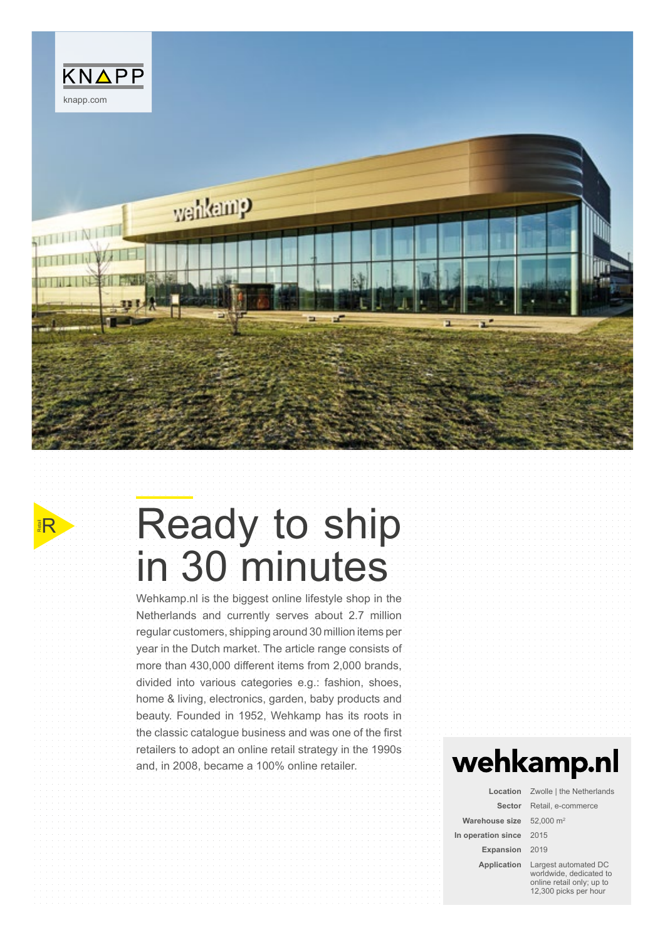

# Ready to ship in 30 minutes

Retail

Wehkamp.nl is the biggest online lifestyle shop in the Netherlands and currently serves about 2.7 million regular customers, shipping around 30 million items per year in the Dutch market. The article range consists of more than 430,000 different items from 2,000 brands, divided into various categories e.g.: fashion, shoes, home & living, electronics, garden, baby products and beauty. Founded in 1952, Wehkamp has its roots in the classic catalogue business and was one of the first retailers to adopt an online retail strategy in the 1990s and, in 2008, became a 100% online retailer.

# wehkamp.nl

|                                  | Location Zwolle   the Netherlands                                                                     |
|----------------------------------|-------------------------------------------------------------------------------------------------------|
|                                  | <b>Sector</b> Retail, e-commerce                                                                      |
| ehouse size $52,000 \text{ m}^2$ |                                                                                                       |
| ration since 2015                |                                                                                                       |
| <b>Expansion</b> 2019            |                                                                                                       |
| Application                      | Largest automated DC<br>worldwide, dedicated to<br>online retail only; up to<br>12,300 picks per hour |

**Ware** In oper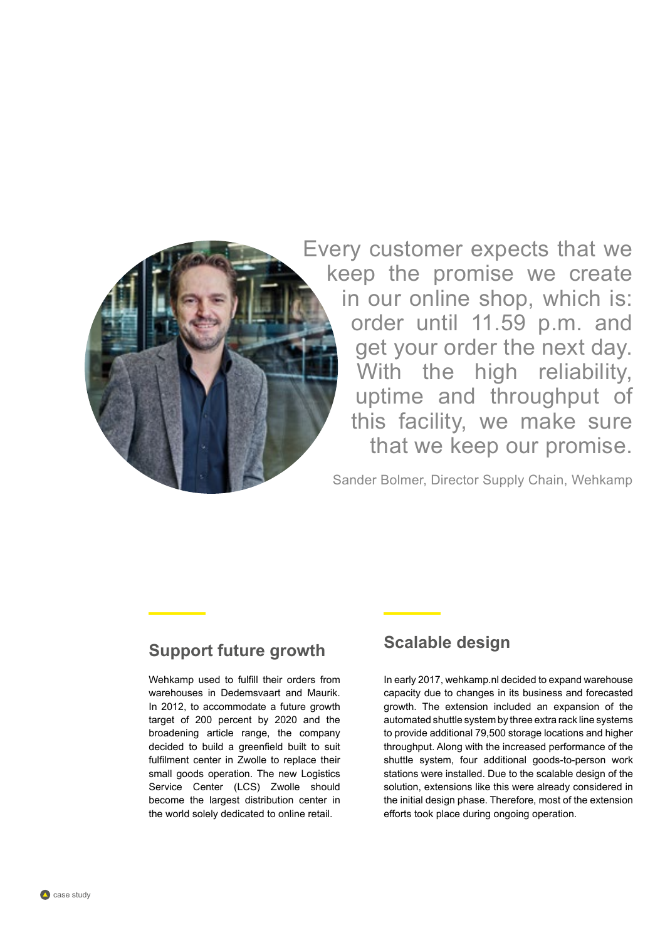

Sander Bolmer, Director Supply Chain, Wehkamp

# **Support future growth**

Wehkamp used to fulfill their orders from warehouses in Dedemsvaart and Maurik. In 2012, to accommodate a future growth target of 200 percent by 2020 and the broadening article range, the company decided to build a greenfield built to suit fulfilment center in Zwolle to replace their small goods operation. The new Logistics Service Center (LCS) Zwolle should become the largest distribution center in the world solely dedicated to online retail.

# **Scalable design**

In early 2017, wehkamp.nl decided to expand warehouse capacity due to changes in its business and forecasted growth. The extension included an expansion of the automated shuttle system by three extra rack line systems to provide additional 79,500 storage locations and higher throughput. Along with the increased performance of the shuttle system, four additional goods-to-person work stations were installed. Due to the scalable design of the solution, extensions like this were already considered in the initial design phase. Therefore, most of the extension efforts took place during ongoing operation.

Case study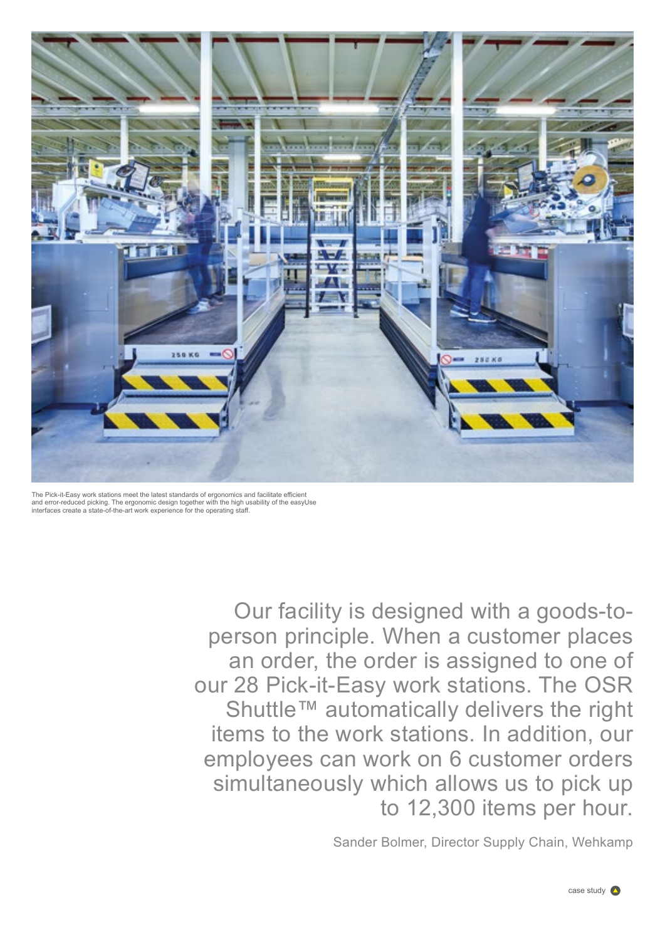

The Pick-it-Easy work stations meet the latest standards of ergonomics and facilitate efficient<br>and error-reduced picking. The ergonomic design together with the high usability of the easyUse<br>interfaces create a state-of-t

Our facility is designed with a goods-toperson principle. When a customer places an order, the order is assigned to one of our 28 Pick-it-Easy work stations. The OSR Shuttle™ automatically delivers the right items to the work stations. In addition, our employees can work on 6 customer orders simultaneously which allows us to pick up to 12,300 items per hour.

Sander Bolmer, Director Supply Chain, Wehkamp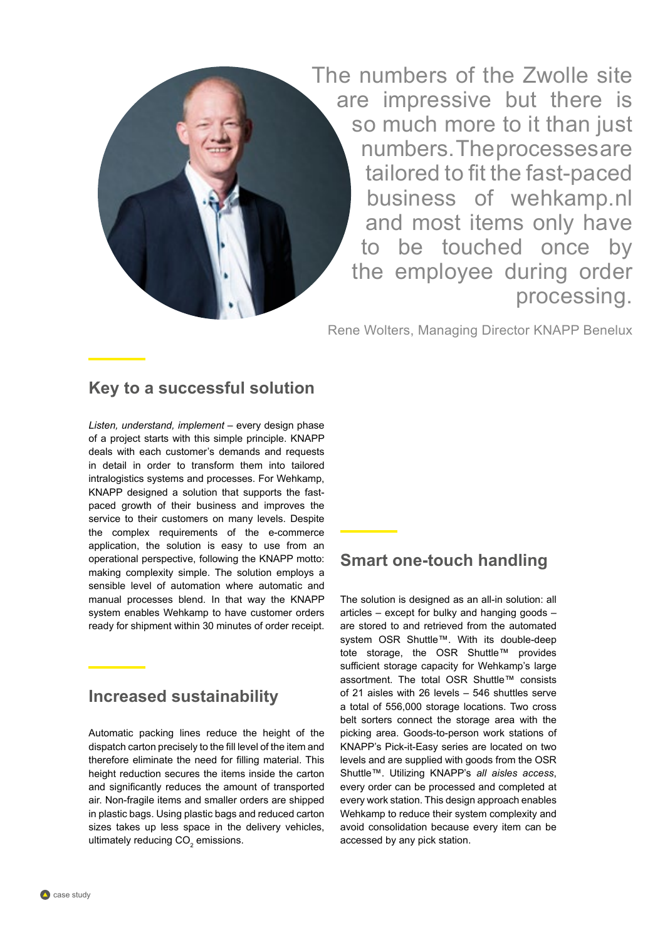

The numbers of the Zwolle site are impressive but there is so much more to it than just numbers. The processes are tailored to fit the fast-paced business of wehkamp.nl and most items only have to be touched once by the employee during order processing.

Rene Wolters, Managing Director KNAPP Benelux

# **Key to a successful solution**

*Listen, understand, implement* – every design phase of a project starts with this simple principle. KNAPP deals with each customer's demands and requests in detail in order to transform them into tailored intralogistics systems and processes. For Wehkamp, KNAPP designed a solution that supports the fastpaced growth of their business and improves the service to their customers on many levels. Despite the complex requirements of the e-commerce application, the solution is easy to use from an operational perspective, following the KNAPP motto: making complexity simple. The solution employs a sensible level of automation where automatic and manual processes blend. In that way the KNAPP system enables Wehkamp to have customer orders ready for shipment within 30 minutes of order receipt.

# **Increased sustainability**

Automatic packing lines reduce the height of the dispatch carton precisely to the fill level of the item and therefore eliminate the need for filling material. This height reduction secures the items inside the carton and significantly reduces the amount of transported air. Non-fragile items and smaller orders are shipped in plastic bags. Using plastic bags and reduced carton sizes takes up less space in the delivery vehicles. ultimately reducing CO $_{\rm 2}$  emissions.

# **Smart one-touch handling**

The solution is designed as an all-in solution: all articles – except for bulky and hanging goods – are stored to and retrieved from the automated system OSR Shuttle™. With its double-deep tote storage, the OSR Shuttle™ provides sufficient storage capacity for Wehkamp's large assortment. The total OSR Shuttle™ consists of 21 aisles with 26 levels – 546 shuttles serve a total of 556,000 storage locations. Two cross belt sorters connect the storage area with the picking area. Goods-to-person work stations of KNAPP's Pick-it-Easy series are located on two levels and are supplied with goods from the OSR Shuttle™. Utilizing KNAPP's *all aisles access*, every order can be processed and completed at every work station. This design approach enables Wehkamp to reduce their system complexity and avoid consolidation because every item can be accessed by any pick station.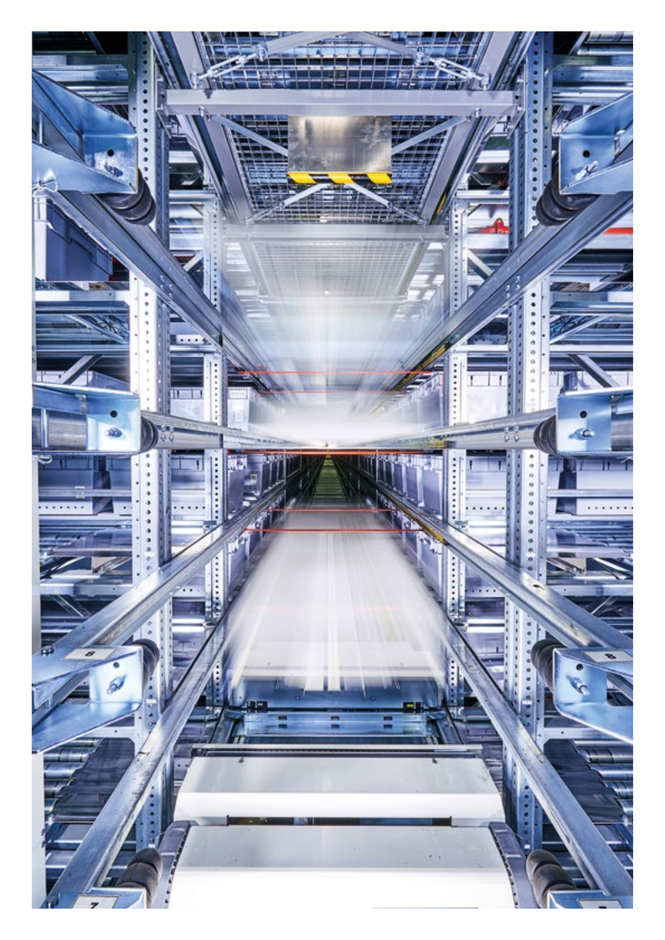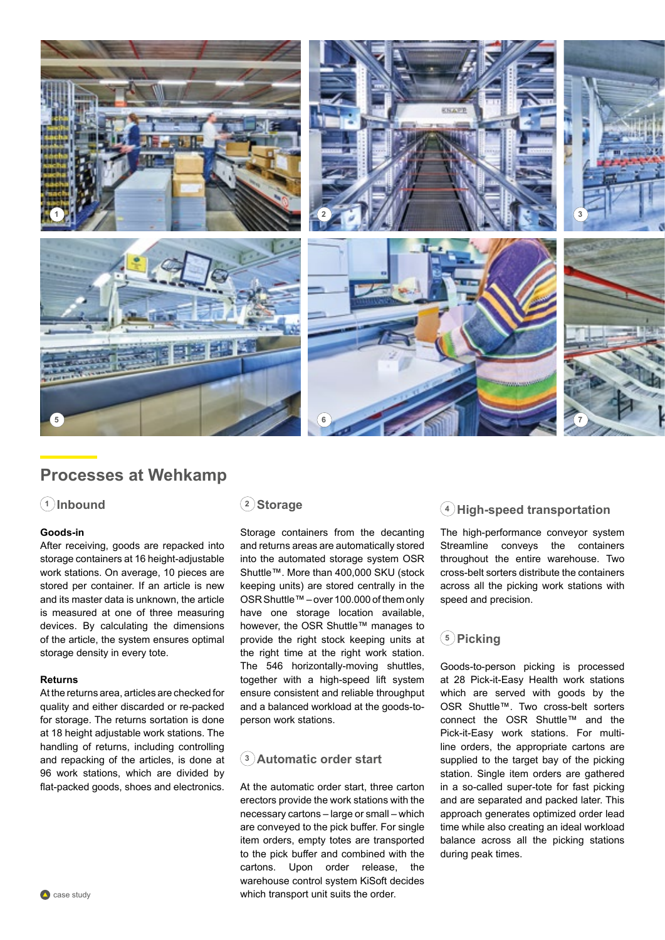

# **Processes at Wehkamp**

#### **<sup>1</sup> Inbound**

#### **Goods-in**

After receiving, goods are repacked into storage containers at 16 height-adjustable work stations. On average, 10 pieces are stored per container. If an article is new and its master data is unknown, the article is measured at one of three measuring devices. By calculating the dimensions of the article, the system ensures optimal storage density in every tote.

#### **Returns**

At the returns area, articles are checked for quality and either discarded or re-packed for storage. The returns sortation is done at 18 height adjustable work stations. The handling of returns, including controlling and repacking of the articles, is done at 96 work stations, which are divided by flat-packed goods, shoes and electronics.

#### **<sup>2</sup> Storage**

Storage containers from the decanting and returns areas are automatically stored into the automated storage system OSR Shuttle™. More than 400,000 SKU (stock keeping units) are stored centrally in the OSR Shuttle™ – over 100.000 of them only have one storage location available, however, the OSR Shuttle™ manages to provide the right stock keeping units at the right time at the right work station. The 546 horizontally-moving shuttles, together with a high-speed lift system ensure consistent and reliable throughput and a balanced workload at the goods-toperson work stations.

#### **<sup>3</sup> Automatic order start**

At the automatic order start, three carton erectors provide the work stations with the necessary cartons – large or small – which are conveyed to the pick buffer. For single item orders, empty totes are transported to the pick buffer and combined with the cartons. Upon order release, the warehouse control system KiSoft decides which transport unit suits the order.

## **<sup>4</sup> High-speed transportation**

The high-performance conveyor system Streamline conveys the containers throughout the entire warehouse. Two cross-belt sorters distribute the containers across all the picking work stations with speed and precision.

## **<sup>5</sup> Picking**

Goods-to-person picking is processed at 28 Pick-it-Easy Health work stations which are served with goods by the OSR Shuttle™. Two cross-belt sorters connect the OSR Shuttle™ and the Pick-it-Easy work stations. For multiline orders, the appropriate cartons are supplied to the target bay of the picking station. Single item orders are gathered in a so-called super-tote for fast picking and are separated and packed later. This approach generates optimized order lead time while also creating an ideal workload balance across all the picking stations during peak times.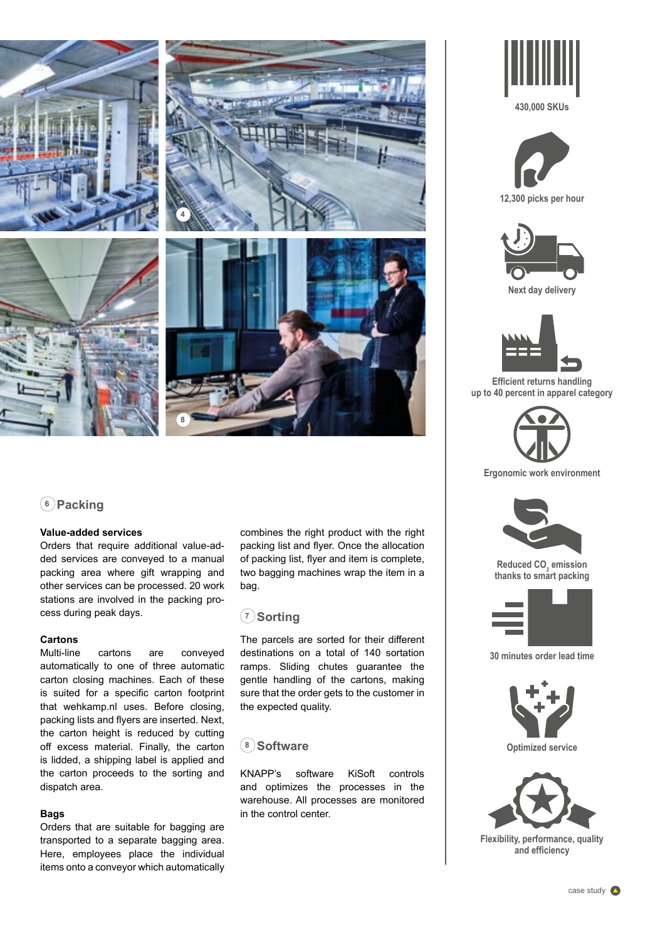

# **<sup>6</sup> Packing**

#### **Value-added services**

Orders that require additional value-added services are conveyed to a manual packing area where gift wrapping and other services can be processed. 20 work stations are involved in the packing process during peak days.

#### **Cartons**

Multi-line cartons are conveyed automatically to one of three automatic carton closing machines. Each of these is suited for a specific carton footprint that wehkamp.nl uses. Before closing, packing lists and flyers are inserted. Next, the carton height is reduced by cutting off excess material. Finally, the carton is lidded, a shipping label is applied and the carton proceeds to the sorting and dispatch area.

#### **Bags**

Orders that are suitable for bagging are transported to a separate bagging area. Here, employees place the individual items onto a conveyor which automatically combines the right product with the right packing list and flyer. Once the allocation of packing list, flyer and item is complete, two bagging machines wrap the item in a bag.

#### **<sup>7</sup> Sorting**

The parcels are sorted for their different destinations on a total of 140 sortation ramps. Sliding chutes guarantee the gentle handling of the cartons, making sure that the order gets to the customer in the expected quality.

# **<sup>8</sup> Software**

KNAPP's software KiSoft controls and optimizes the processes in the warehouse. All processes are monitored in the control center.



**430,000 SKUs** 



**12,300 picks per hour** 



**Next day delivery**



**Efficient returns handling up to 40 percent in apparel category**



**Ergonomic work environment** 



Reduced CO<sub>2</sub> emission **thanks to smart packing** 



**30 minutes order lead time**



**Optimized service** 



**Flexibility, performance, quality and efficiency**